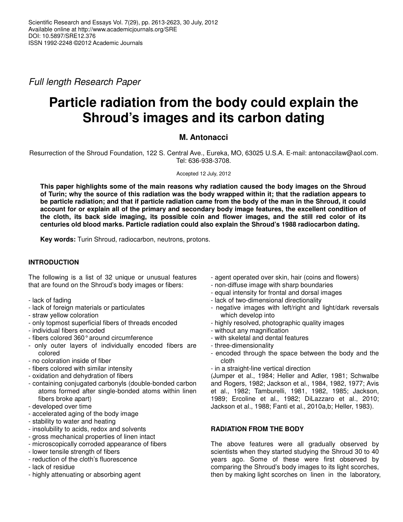*Full length Research Paper*

# **Particle radiation from the body could explain the Shroud's images and its carbon dating**

## **M. Antonacci**

Resurrection of the Shroud Foundation, 122 S. Central Ave., Eureka, MO, 63025 U.S.A. E-mail: antonaccilaw@aol.com. Tel: 636-938-3708.

Accepted 12 July, 2012

**This paper highlights some of the main reasons why radiation caused the body images on the Shroud** of Turin; why the source of this radiation was the body wrapped within it; that the radiation appears to be particle radiation; and that if particle radiation came from the body of the man in the Shroud, it could **account for or explain all of the primary and secondary body image features, the excellent condition of** the cloth, its back side imaging, its possible coin and flower images, and the still red color of its **centuries old blood marks. Particle radiation could also explain the Shroud's 1988 radiocarbon dating.**

**Key words:** Turin Shroud, radiocarbon, neutrons, protons.

## **INTRODUCTION**

The following is a list of 32 unique or unusual features that are found on the Shroud's body images or fibers:

- lack of fading
- lack of foreign materials or particulates
- straw yellow coloration
- only topmost superficial fibers of threads encoded
- individual fibers encoded
- fibers colored 360°around circumference
- only outer layers of individually encoded fibers are colored
- no coloration inside of fiber
- fibers colored with similar intensity
- oxidation and dehydration of fibers
- containing conjugated carbonyls (double-bonded carbon atoms formed after single-bonded atoms within linen fibers broke apart)
- developed over time
- accelerated aging of the body image
- stability to water and heating
- insolubility to acids, redox and solvents
- gross mechanical properties of linen intact
- microscopically corroded appearance of fibers
- lower tensile strength of fibers
- reduction of the cloth's fluorescence
- lack of residue
- highly attenuating or absorbing agent
- agent operated over skin, hair (coins and flowers)
- non-diffuse image with sharp boundaries
- equal intensity for frontal and dorsal images
- lack of two-dimensional directionality
- negative images with left/right and light/dark reversals which develop into
- highly resolved, photographic quality images
- without any magnification
- with skeletal and dental features
- three-dimensionality
- encoded through the space between the body and the cloth
- in a straight-line vertical direction

(Jumper et al., 1984; Heller and Adler, 1981; Schwalbe and Rogers, 1982; Jackson et al., 1984, 1982, 1977; Avis et al., 1982; Tamburelli, 1981, 1982, 1985; Jackson, 1989; Ercoline et al., 1982; DiLazzaro et al., 2010; Jackson et al., 1988; Fanti et al., 2010a,b; Heller, 1983).

## **RADIATION FROM THE BODY**

The above features were all gradually observed by scientists when they started studying the Shroud 30 to 40 years ago. Some of these were first observed by comparing the Shroud's body images to its light scorches, then by making light scorches on linen in the laboratory,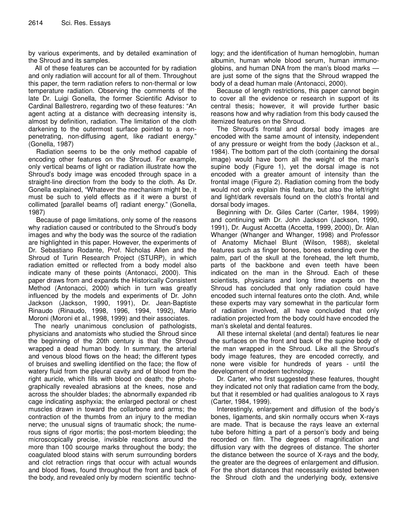by various experiments, and by detailed examination of the Shroud and its samples.

All of these features can be accounted for by radiation and only radiation will account for all of them. Throughout this paper, the term radiation refers to non-thermal or low temperature radiation. Observing the comments of the late Dr. Luigi Gonella, the former Scientific Advisor to Cardinal Ballestrero, regarding two of these features: "An agent acting at a distance with decreasing intensity is, almost by definition, radiation. The limitation of the cloth darkening to the outermost surface pointed to a nonpenetrating, non-diffusing agent, like radiant energy." (Gonella, 1987)

Radiation seems to be the only method capable of encoding other features on the Shroud. For example, only vertical beams of light or radiation illustrate how the Shroud's body image was encoded through space in a straight-line direction from the body to the cloth. As Dr. Gonella explained, "Whatever the mechanism might be, it must be such to yield effects as if it were a burst of collimated [parallel beams of] radiant energy." (Gonella, 1987)

Because of page limitations, only some of the reasons why radiation caused or contributed to the Shroud's body images and why the body was the source of the radiation are highlighted in this paper. However, the experiments of Dr. Sebastiano Rodante, Prof. Nicholas Allen and the Shroud of Turin Research Project (STURP), in which radiation emitted or reflected from a body model also indicate many of these points (Antonacci, 2000). This paper draws from and expands the Historically Consistent Method (Antonacci, 2000) which in turn was greatly influenced by the models and experiments of Dr. John Jackson (Jackson, 1990, 1991), Dr. Jean-Baptiste Rinaudo (Rinaudo, 1998, 1996, 1994, 1992), Mario Moroni (Moroni et al., 1998, 1999) and their associates.

The nearly unanimous conclusion of pathologists, physicians and anatomists who studied the Shroud since the beginning of the 20th century is that the Shroud wrapped a dead human body. In summary, the arterial and venous blood flows on the head; the different types of bruises and swelling identified on the face; the flow of watery fluid from the pleural cavity and of blood from the right auricle, which fills with blood on death; the photographically revealed abrasions at the knees, nose and across the shoulder blades; the abnormally expanded rib cage indicating asphyxia; the enlarged pectoral or chest muscles drawn in toward the collarbone and arms; the contraction of the thumbs from an injury to the median nerve; the unusual signs of traumatic shock; the numerous signs of rigor mortis; the post-mortem bleeding; the microscopically precise, invisible reactions around the more than 100 scourge marks throughout the body; the coagulated blood stains with serum surrounding borders and clot retraction rings that occur with actual wounds and blood flows, found throughout the front and back of the body, and revealed only by modern scientific techno-

logy; and the identification of human hemoglobin, human albumin, human whole blood serum, human immunoglobins, and human DNA from the man's blood marks are just some of the signs that the Shroud wrapped the body of a dead human male (Antonacci, 2000).

Because of length restrictions, this paper cannot begin to cover all the evidence or research in support of its central thesis; however, it will provide further basic reasons how and why radiation from this body caused the itemized features on the Shroud.

The Shroud's frontal and dorsal body images are encoded with the same amount of intensity, independent of any pressure or weight from the body (Jackson et al., 1984). The bottom part of the cloth (containing the dorsal image) would have born all the weight of the man's supine body (Figure 1), yet the dorsal image is not encoded with a greater amount of intensity than the frontal image (Figure 2). Radiation coming from the body would not only explain this feature, but also the left/right and light/dark reversals found on the cloth's frontal and dorsal body images.

Beginning with Dr. Giles Carter (Carter, 1984, 1999) and continuing with Dr. John Jackson (Jackson, 1990, 1991), Dr. August Accetta (Accetta, 1999, 2000), Dr. Alan Whanger (Whanger and Whanger, 1998) and Professor of Anatomy Michael Blunt (Wilson, 1988), skeletal features such as finger bones, bones extending over the palm, part of the skull at the forehead, the left thumb, parts of the backbone and even teeth have been indicated on the man in the Shroud. Each of these scientists, physicians and long time experts on the Shroud has concluded that only radiation could have encoded such internal features onto the cloth. And, while these experts may vary somewhat in the particular form of radiation involved, all have concluded that only radiation projected from the body could have encoded the man's skeletal and dental features.

All these internal skeletal (and dental) features lie near the surfaces on the front and back of the supine body of the man wrapped in the Shroud. Like all the Shroud's body image features, they are encoded correctly, and none were visible for hundreds of years - until the development of modern technology.

Dr. Carter, who first suggested these features, thought they indicated not only that radiation came from the body, but that it resembled or had qualities analogous to X rays (Carter, 1984, 1999).

Interestingly, enlargement and diffusion of the body's bones, ligaments, and skin normally occurs when X-rays are made. That is because the rays leave an external tube before hitting a part of a person's body and being recorded on film. The degrees of magnification and diffusion vary with the degrees of distance. The shorter the distance between the source of X-rays and the body, the greater are the degrees of enlargement and diffusion. For the short distances that necessarily existed between the Shroud cloth and the underlying body, extensive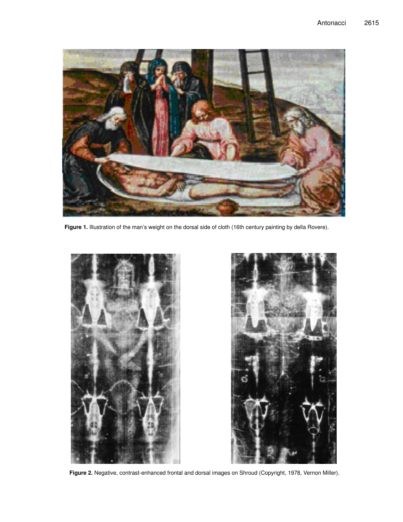

**Figure 1.** Illustration of the man's weight on the dorsal side of cloth (16th century painting by della Rovere).





**Figure 2.** Negative, contrast-enhanced frontal and dorsal images on Shroud (Copyright, 1978, Vernon Miller).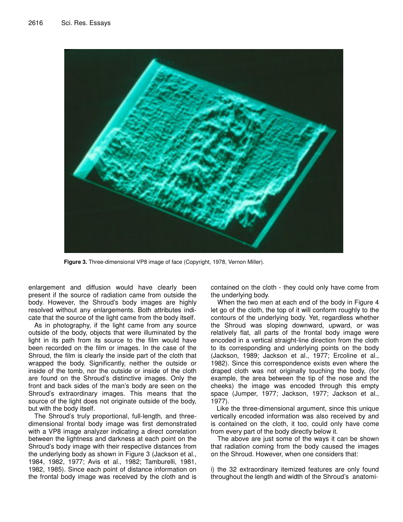

**Figure 3.** Three-dimensional VP8 image of face (Copyright, 1978, Vernon Miller).

enlargement and diffusion would have clearly been present if the source of radiation came from outside the body. However, the Shroud's body images are highly resolved without any enlargements. Both attributes indicate that the source of the light came from the body itself.

As in photography, if the light came from any source outside of the body, objects that were illuminated by the light in its path from its source to the film would have been recorded on the film or images. In the case of the Shroud, the film is clearly the inside part of the cloth that wrapped the body. Significantly, neither the outside or inside of the tomb, nor the outside or inside of the cloth are found on the Shroud's distinctive images. Only the front and back sides of the man's body are seen on the Shroud's extraordinary images. This means that the source of the light does not originate outside of the body, but with the body itself.

The Shroud's truly proportional, full-length, and threedimensional frontal body image was first demonstrated with a VP8 image analyzer indicating a direct correlation between the lightness and darkness at each point on the Shroud's body image with their respective distances from the underlying body as shown in Figure 3 (Jackson et al., 1984, 1982, 1977; Avis et al., 1982; Tamburelli, 1981, 1982, 1985). Since each point of distance information on the frontal body image was received by the cloth and is

contained on the cloth - they could only have come from the underlying body.

When the two men at each end of the body in Figure 4 let go of the cloth, the top of it will conform roughly to the contours of the underlying body. Yet, regardless whether the Shroud was sloping downward, upward, or was relatively flat, all parts of the frontal body image were encoded in a vertical straight-line direction from the cloth to its corresponding and underlying points on the body (Jackson, 1989; Jackson et al., 1977; Ercoline et al., 1982). Since this correspondence exists even where the draped cloth was not originally touching the body, (for example, the area between the tip of the nose and the cheeks) the image was encoded through this empty space (Jumper, 1977; Jackson, 1977; Jackson et al., 1977).

Like the three-dimensional argument, since this unique vertically encoded information was also received by and is contained on the cloth, it too, could only have come from every part of the body directly below it.

The above are just some of the ways it can be shown that radiation coming from the body caused the images on the Shroud. However, when one considers that:

i) the 32 extraordinary itemized features are only found throughout the length and width of the Shroud's anatomi-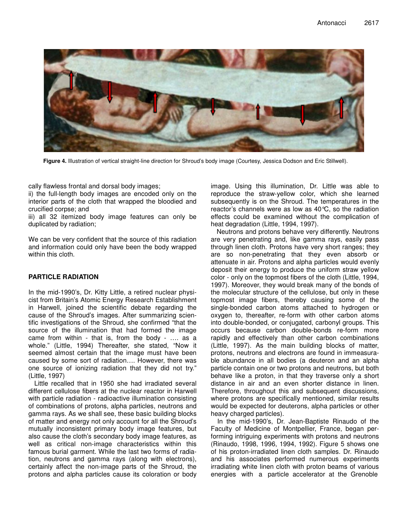

**Figure 4.** Illustration of vertical straight-line direction for Shroud's body image (Courtesy, Jessica Dodson and Eric Stillwell).

cally flawless frontal and dorsal body images;

ii) the full-length body images are encoded only on the interior parts of the cloth that wrapped the bloodied and crucified corpse; and

iii) all 32 itemized body image features can only be duplicated by radiation;

We can be very confident that the source of this radiation and information could only have been the body wrapped within this cloth.

#### **PARTICLE RADIATION**

In the mid-1990's, Dr. Kitty Little, a retired nuclear physicist from Britain's Atomic Energy Research Establishment in Harwell, joined the scientific debate regarding the cause of the Shroud's images. After summarizing scientific investigations of the Shroud, she confirmed "that the source of the illumination that had formed the image came from within - that is, from the body - …. as a whole." (Little, 1994) Thereafter, she stated, "Now it seemed almost certain that the image must have been caused by some sort of radiation…. However, there was one source of ionizing radiation that they did not try." (Little, 1997)

Little recalled that in 1950 she had irradiated several different cellulose fibers at the nuclear reactor in Harwell with particle radiation - radioactive illumination consisting of combinations of protons, alpha particles, neutrons and gamma rays. As we shall see, these basic building blocks of matter and energy not only account for all the Shroud's mutually inconsistent primary body image features, but also cause the cloth's secondary body image features, as well as critical non-image characteristics within this famous burial garment. While the last two forms of radiation, neutrons and gamma rays (along with electrons), certainly affect the non-image parts of the Shroud, the protons and alpha particles cause its coloration or body

image. Using this illumination, Dr. Little was able to reproduce the straw-yellow color, which she learned subsequently is on the Shroud. The temperatures in the reactor's channels were as low as 40°C, so the radiation effects could be examined without the complication of heat degradation (Little, 1994, 1997).

Neutrons and protons behave very differently. Neutrons are very penetrating and, like gamma rays, easily pass through linen cloth. Protons have very short ranges; they are so non-penetrating that they even absorb or attenuate in air. Protons and alpha particles would evenly deposit their energy to produce the uniform straw yellow color - only on the topmost fibers of the cloth (Little, 1994, 1997). Moreover, they would break many of the bonds of the molecular structure of the cellulose, but only in these topmost image fibers, thereby causing some of the single-bonded carbon atoms attached to hydrogen or oxygen to, thereafter, re-form with other carbon atoms into double-bonded, or conjugated, carbonyl groups. This occurs because carbon double-bonds re-form more rapidly and effectively than other carbon combinations (Little, 1997). As the main building blocks of matter, protons, neutrons and electrons are found in immeasurable abundance in all bodies (a deuteron and an alpha particle contain one or two protons and neutrons, but both behave like a proton, in that they traverse only a short distance in air and an even shorter distance in linen. Therefore, throughout this and subsequent discussions, where protons are specifically mentioned, similar results would be expected for deuterons, alpha particles or other heavy charged particles).

In the mid-1990's, Dr. Jean-Baptiste Rinaudo of the Faculty of Medicine of Montpellier, France, began performing intriguing experiments with protons and neutrons (Rinaudo, 1998, 1996, 1994, 1992). Figure 5 shows one of his proton-irradiated linen cloth samples. Dr. Rinaudo and his associates performed numerous experiments irradiating white linen cloth with proton beams of various energies with a particle accelerator at the Grenoble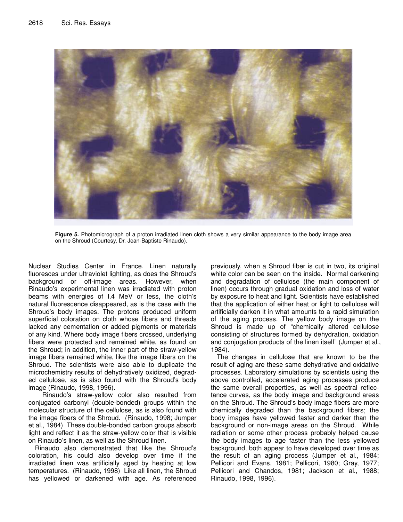

**Figure 5.** Photomicrograph of a proton irradiated linen cloth shows a very similar appearance to the body image area on the Shroud (Courtesy, Dr. Jean-Baptiste Rinaudo).

Nuclear Studies Center in France. Linen naturally fluoresces under ultraviolet lighting, as does the Shroud's background or off-image areas. However, when Rinaudo's experimental linen was irradiated with proton beams with energies of I.4 MeV or less, the cloth's natural fluorescence disappeared, as is the case with the Shroud's body images. The protons produced uniform superficial coloration on cloth whose fibers and threads lacked any cementation or added pigments or materials of any kind. Where body image fibers crossed, underlying fibers were protected and remained white, as found on the Shroud; in addition, the inner part of the straw-yellow image fibers remained white, like the image fibers on the Shroud. The scientists were also able to duplicate the microchemistry results of dehydratively oxidized, degraded cellulose, as is also found with the Shroud's body image (Rinaudo, 1998, 1996).

Rinaudo's straw-yellow color also resulted from conjugated carbonyl (double-bonded) groups within the molecular structure of the cellulose, as is also found with the image fibers of the Shroud. (Rinaudo, 1998; Jumper et al., 1984) These double-bonded carbon groups absorb light and reflect it as the straw-yellow color that is visible on Rinaudo's linen, as well as the Shroud linen.

Rinaudo also demonstrated that like the Shroud's coloration, his could also develop over time if the irradiated linen was artificially aged by heating at low temperatures. (Rinaudo, 1998) Like all linen, the Shroud has yellowed or darkened with age. As referenced

previously, when a Shroud fiber is cut in two, its original white color can be seen on the inside. Normal darkening and degradation of cellulose (the main component of linen) occurs through gradual oxidation and loss of water by exposure to heat and light. Scientists have established that the application of either heat or light to cellulose will artificially darken it in what amounts to a rapid simulation of the aging process. The yellow body image on the Shroud is made up of "chemically altered cellulose consisting of structures formed by dehydration, oxidation and conjugation products of the linen itself" (Jumper et al., 1984).

The changes in cellulose that are known to be the result of aging are these same dehydrative and oxidative processes. Laboratory simulations by scientists using the above controlled, accelerated aging processes produce the same overall properties, as well as spectral reflectance curves, as the body image and background areas on the Shroud. The Shroud's body image fibers are more chemically degraded than the background fibers; the body images have yellowed faster and darker than the background or non-image areas on the Shroud. While radiation or some other process probably helped cause the body images to age faster than the less yellowed background, both appear to have developed over time as the result of an aging process (Jumper et al., 1984; Pellicori and Evans, 1981; Pellicori, 1980; Gray, 1977; Pellicori and Chandos, 1981; Jackson et al., 1988; Rinaudo, 1998, 1996).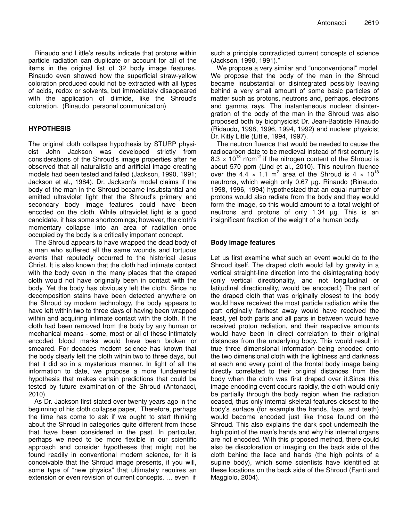Rinaudo and Little's results indicate that protons within particle radiation can duplicate or account for all of the items in the original list of 32 body image features. Rinaudo even showed how the superficial straw-yellow coloration produced could not be extracted with all types of acids, redox or solvents, but immediately disappeared with the application of diimide, like the Shroud's coloration. (Rinaudo, personal communication)

#### **HYPOTHESIS**

The original cloth collapse hypothesis by STURP physicist John Jackson was developed strictly from considerations of the Shroud's image properties after he observed that all naturalistic and artificial image creating models had been tested and failed (Jackson, 1990, 1991; Jackson et al., 1984). Dr. Jackson's model claims if the body of the man in the Shroud became insubstantial and emitted ultraviolet light that the Shroud's primary and secondary body image features could have been encoded on the cloth. While ultraviolet light is a good candidate, it has some shortcomings; however, the cloth's momentary collapse into an area of radiation once occupied by the body is a critically important concept.

The Shroud appears to have wrapped the dead body of a man who suffered all the same wounds and tortuous events that reputedly occurred to the historical Jesus Christ. It is also known that the cloth had intimate contact with the body even in the many places that the draped cloth would not have originally been in contact with the body. Yet the body has obviously left the cloth. Since no decomposition stains have been detected anywhere on the Shroud by modern technology, the body appears to have left within two to three days of having been wrapped within and acquiring intimate contact with the cloth. If the cloth had been removed from the body by any human or mechanical means - some, most or all of these intimately encoded blood marks would have been broken or smeared. For decades modern science has known that the body clearly left the cloth within two to three days, but that it did so in a mysterious manner. In light of all the information to date, we propose a more fundamental hypothesis that makes certain predictions that could be tested by future examination of the Shroud (Antonacci, 2010).

As Dr. Jackson first stated over twenty years ago in the beginning of his cloth collapse paper, "Therefore, perhaps the time has come to ask if we ought to start thinking about the Shroud in categories quite different from those that have been considered in the past. In particular, perhaps we need to be more flexible in our scientific approach and consider hypotheses that might not be found readily in conventional modern science, for it is conceivable that the Shroud image presents, if you will, some type of "new physics" that ultimately requires an extension or even revision of current concepts. … even if such a principle contradicted current concepts of science (Jackson, 1990, 1991)."

We propose a very similar and "unconventional" model. We propose that the body of the man in the Shroud became insubstantial or disintegrated possibly leaving behind a very small amount of some basic particles of matter such as protons, neutrons and, perhaps, electrons and gamma rays. The instantaneous nuclear disintergration of the body of the man in the Shroud was also proposed both by biophysicist Dr. Jean-Baptiste Rinaudo (Ridaudo, 1998, 1996, 1994, 1992) and nuclear physicist Dr. Kitty Little (Little, 1994, 1997).

The neutron fluence that would be needed to cause the radiocarbon date to be medieval instead of first century is  $8.3 \times 10^{13}$  n<sup>cm-2</sup> if the nitrogen content of the Shroud is about 570 ppm (Lind et al., 2010). This neutron fluence over the 4.4  $\times$  1.1 m<sup>2</sup> area of the Shroud is 4  $\times$  10<sup>18</sup> neutrons, which weigh only 0.67 µg. Rinaudo (Rinaudo, 1998, 1996, 1994) hypothesized that an equal number of protons would also radiate from the body and they would form the image, so this would amount to a total weight of neutrons and protons of only 1.34 µg. This is an insignificant fraction of the weight of a human body.

#### **Body image features**

Let us first examine what such an event would do to the Shroud itself. The draped cloth would fall by gravity in a vertical straight-line direction into the disintegrating body (only vertical directionality, and not longitudinal or latitudinal directionality, would be encoded.) The part of the draped cloth that was originally closest to the body would have received the most particle radiation while the part originally farthest away would have received the least, yet both parts and all parts in between would have received proton radiation, and their respective amounts would have been in direct correlation to their original distances from the underlying body. This would result in true three dimensional information being encoded onto the two dimensional cloth with the lightness and darkness at each and every point of the frontal body image being directly correlated to their original distances from the body when the cloth was first draped over it.Since this image encoding event occurs rapidly, the cloth would only be partially through the body region when the radiation ceased, thus only internal skeletal features closest to the body's surface (for example the hands, face, and teeth) would become encoded just like those found on the Shroud. This also explains the dark spot underneath the high point of the man's hands and why his internal organs are not encoded. With this proposed method, there could also be discoloration or imaging on the back side of the cloth behind the face and hands (the high points of a supine body), which some scientists have identified at these locations on the back side of the Shroud (Fanti and Maggiolo, 2004).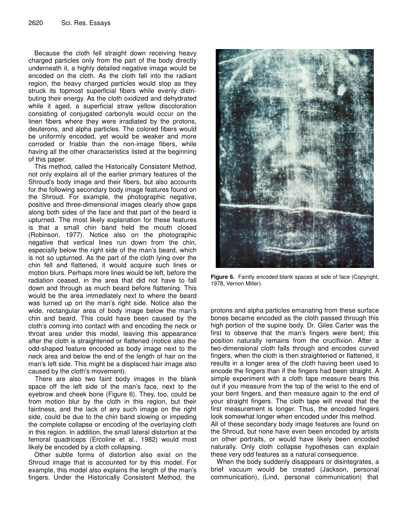Because the cloth fell straight down receiving heavy charged particles only from the part of the body directly underneath it, a highly detailed negative image would be encoded on the cloth. As the cloth fell into the radiant region, the heavy charged particles would stop as they struck its topmost superficial fibers while evenly distributing their energy. As the cloth oxidized and dehydrated while it aged, a superficial straw yellow discoloration consisting of conjugated carbonyls would occur on the linen fibers where they were irradiated by the protons, deuterons, and alpha particles. The colored fibers would be uniformly encoded, yet would be weaker and more corroded or friable than the non-image fibers, while having all the other characteristics listed at the beginning of this paper.

This method, called the Historically Consistent Method, not only explains all of the earlier primary features of the Shroud's body image and their fibers, but also accounts for the following secondary body image features found on the Shroud. For example, the photographic negative, positive and three-dimensional images clearly show gaps along both sides of the face and that part of the beard is upturned. The most likely explanation for these features is that a small chin band held the mouth closed (Robinson, 1977). Notice also on the photographic negative that vertical lines run down from the chin, especially below the right side of the man's beard, which is not so upturned. As the part of the cloth lying over the chin fell and flattened, it would acquire such lines or motion blurs. Perhaps more lines would be left, before the radiation ceased, in the area that did not have to fall down and through as much beard before flattening. This would be the area immediately next to where the beard was turned up on the man's right side. Notice also the wide, rectangular area of body image below the man's chin and beard. This could have been caused by the cloth's coming into contact with and encoding the neck or throat area under this model, leaving this appearance after the cloth is straightened or flattened (notice also the odd-shaped feature encoded as body image next to the neck area and below the end of the length of hair on the man's left side. This might be a displaced hair image also caused by the cloth's movement).

There are also two faint body images in the blank space off the left side of the man's face, next to the eyebrow and cheek bone (Figure 6). They, too, could be from motion blur by the cloth in this region, but their faintness, and the lack of any such image on the right side, could be due to the chin band slowing or impeding the complete collapse or encoding of the overlaying cloth in this region. In addition, the small lateral distortion at the femoral quadriceps (Ercoline et al., 1982) would most likely be encoded by a cloth collapsing.

Other subtle forms of distortion also exist on the Shroud image that is accounted for by this model. For example, this model also explains the length of the man's fingers. Under the Historically Consistent Method, the



**Figure 6.** Faintly encoded blank spaces at side of face (Copyright, 1978, Vernon Miller).

protons and alpha particles emanating from these surface bones became encoded as the cloth passed through this high portion of the supine body. Dr. Giles Carter was the first to observe that the man's fingers were bent; this position naturally remains from the crucifixion. After a two-dimensional cloth falls through and encodes curved fingers, when the cloth is then straightened or flattened, it results in a longer area of the cloth having been used to encode the fingers than if the fingers had been straight. A simple experiment with a cloth tape measure bears this out if you measure from the top of the wrist to the end of your bent fingers, and then measure again to the end of your straight fingers. The cloth tape will reveal that the first measurement is longer. Thus, the encoded fingers look somewhat longer when encoded under this method. All of these secondary body image features are found on the Shroud, but none have even been encoded by artists on other portraits, or would have likely been encoded naturally. Only cloth collapse hypotheses can explain these very odd features as a natural consequence.

When the body suddenly disappears or disintegrates, a brief vacuum would be created (Jackson, personal communication), (Lind, personal communication) that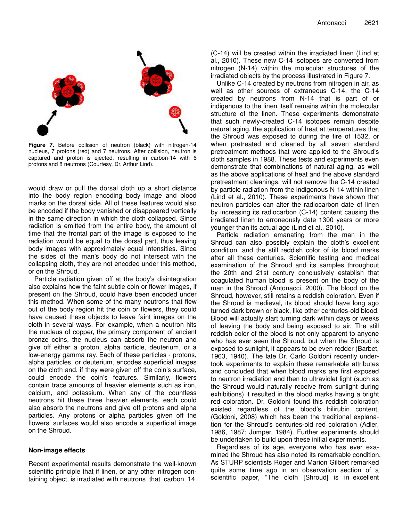

**Figure 7.** Before collision of neutron (black) with nitrogen-14 nucleus, 7 protons (red) and 7 neutrons. After collision, neutron is captured and proton is ejected, resulting in carbon-14 with 6 protons and 8 neutrons (Courtesy, Dr. Arthur Lind).

would draw or pull the dorsal cloth up a short distance into the body region encoding body image and blood marks on the dorsal side. All of these features would also be encoded if the body vanished or disappeared vertically in the same direction in which the cloth collapsed. Since radiation is emitted from the entire body, the amount of time that the frontal part of the image is exposed to the radiation would be equal to the dorsal part, thus leaving body images with approximately equal intensities. Since the sides of the man's body do not intersect with the collapsing cloth, they are not encoded under this method, or on the Shroud.

Particle radiation given off at the body's disintegration also explains how the faint subtle coin or flower images, if present on the Shroud, could have been encoded under this method. When some of the many neutrons that flew out of the body region hit the coin or flowers, they could have caused these objects to leave faint images on the cloth in several ways. For example, when a neutron hits the nucleus of copper, the primary component of ancient bronze coins, the nucleus can absorb the neutron and give off either a proton, alpha particle, deuterium, or a low-energy gamma ray. Each of these particles - protons, alpha particles, or deuterium, encodes superficial images on the cloth and, if they were given off the coin's surface, could encode the coin's features. Similarly, flowers contain trace amounts of heavier elements such as iron, calcium, and potassium. When any of the countless neutrons hit these three heavier elements, each could also absorb the neutrons and give off protons and alpha particles. Any protons or alpha particles given off the flowers' surfaces would also encode a superficial image on the Shroud.

#### **Non-image effects**

Recent experimental results demonstrate the well-known scientific principle that if linen, or any other nitrogen containing object, is irradiated with neutrons that carbon 14

(C-14) will be created within the irradiated linen (Lind et al., 2010). These new C-14 isotopes are converted from nitrogen (N-14) within the molecular structures of the irradiated objects by the process illustrated in Figure 7.

Unlike C-14 created by neutrons from nitrogen in air, as well as other sources of extraneous C-14, the C-14 created by neutrons from N-14 that is part of or indigenous to the linen itself remains within the molecular structure of the linen. These experiments demonstrate that such newly-created C-14 isotopes remain despite natural aging, the application of heat at temperatures that the Shroud was exposed to during the fire of 1532, or when pretreated and cleaned by all seven standard pretreatment methods that were applied to the Shroud's cloth samples in 1988. These tests and experiments even demonstrate that combinations of natural aging, as well as the above applications of heat and the above standard pretreatment cleanings, will not remove the C-14 created by particle radiation from the indigenous N-14 within linen (Lind et al., 2010). These experiments have shown that neutron particles can alter the radiocarbon date of linen by increasing its radiocarbon (C-14) content causing the irradiated linen to erroneously date 1300 years or more younger than its actual age (Lind et al., 2010).

Particle radiation emanating from the man in the Shroud can also possibly explain the cloth's excellent condition, and the still reddish color of its blood marks after all these centuries. Scientific testing and medical examination of the Shroud and its samples throughout the 20th and 21st century conclusively establish that coagulated human blood is present on the body of the man in the Shroud (Antonacci, 2000). The blood on the Shroud, however, still retains a reddish coloration. Even if the Shroud is medieval, its blood should have long ago turned dark brown or black, like other centuries-old blood. Blood will actually start turning dark within days or weeks of leaving the body and being exposed to air. The still reddish color of the blood is not only apparent to anyone who has ever seen the Shroud, but when the Shroud is exposed to sunlight, it appears to be even redder (Barbet, 1963, 1940). The late Dr. Carlo Goldoni recently undertook experiments to explain these remarkable attributes and concluded that when blood marks are first exposed to neutron irradiation and then to ultraviolet light (such as the Shroud would naturally receive from sunlight during exhibitions) it resulted in the blood marks having a bright red coloration. Dr. Goldoni found this reddish coloration existed regardless of the blood's bilirubin content, (Goldoni, 2008) which has been the traditional explanation for the Shroud's centuries-old red coloration (Adler, 1986, 1987; Jumper, 1984). Further experiments should be undertaken to build upon these initial experiments.

Regardless of its age, everyone who has ever examined the Shroud has also noted its remarkable condition. As STURP scientists Roger and Marion Gilbert remarked quite some time ago in an observation section of a scientific paper, "The cloth [Shroud] is in excellent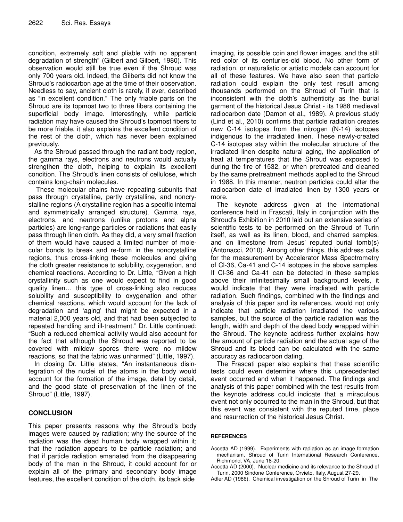condition, extremely soft and pliable with no apparent degradation of strength" (Gilbert and Gilbert, 1980). This observation would still be true even if the Shroud was only 700 years old. Indeed, the Gilberts did not know the Shroud's radiocarbon age at the time of their observation. Needless to say, ancient cloth is rarely, if ever, described as "in excellent condition." The only friable parts on the Shroud are its topmost two to three fibers containing the superficial body image. Interestingly, while particle radiation may have caused the Shroud's topmost fibers to be more friable, it also explains the excellent condition of the rest of the cloth, which has never been explained previously.

As the Shroud passed through the radiant body region, the gamma rays, electrons and neutrons would actually strengthen the cloth, helping to explain its excellent condition. The Shroud's linen consists of cellulose, which contains long-chain molecules.

These molecular chains have repeating subunits that pass through crystalline, partly crystalline, and noncrystalline regions (A crystalline region has a specific internal and symmetrically arranged structure). Gamma rays, electrons, and neutrons (unlike protons and alpha particles) are long-range particles or radiations that easily pass through linen cloth. As they did, a very small fraction of them would have caused a limited number of molecular bonds to break and re-form in the noncrystalline regions, thus cross-linking these molecules and giving the cloth greater resistance to solubility, oxygenation, and chemical reactions. According to Dr. Little, "Given a high crystallinity such as one would expect to find in good quality linen… this type of cross-linking also reduces solubility and susceptibility to oxygenation and other chemical reactions, which would account for the lack of degradation and 'aging' that might be expected in a material 2,000 years old, and that had been subjected to repeated handling and ill-treatment." Dr. Little continued: "Such a reduced chemical activity would also account for the fact that although the Shroud was reported to be covered with mildew spores there were no mildew reactions, so that the fabric was unharmed" (Little, 1997).

In closing Dr. Little states, "An instantaneous disintegration of the nuclei of the atoms in the body would account for the formation of the image, detail by detail, and the good state of preservation of the linen of the Shroud" (Little, 1997).

### **CONCLUSION**

This paper presents reasons why the Shroud's body images were caused by radiation; why the source of the radiation was the dead human body wrapped within it; that the radiation appears to be particle radiation; and that if particle radiation emanated from the disappearing body of the man in the Shroud, it could account for or explain all of the primary and secondary body image features, the excellent condition of the cloth, its back side

imaging, its possible coin and flower images, and the still red color of its centuries-old blood. No other form of radiation, or naturalistic or artistic models can account for all of these features. We have also seen that particle radiation could explain the only test result among thousands performed on the Shroud of Turin that is inconsistent with the cloth's authenticity as the burial garment of the historical Jesus Christ - its 1988 medieval radiocarbon date (Damon et al., 1989). A previous study (Lind et al., 2010) confirms that particle radiation creates new C-14 isotopes from the nitrogen (N-14) isotopes indigenous to the irradiated linen. These newly-created C-14 isotopes stay within the molecular structure of the irradiated linen despite natural aging, the application of heat at temperatures that the Shroud was exposed to during the fire of 1532, or when pretreated and cleaned by the same pretreatment methods applied to the Shroud in 1988. In this manner, neutron particles could alter the radiocarbon date of irradiated linen by 1300 years or more.

The keynote address given at the international conference held in Frascati, Italy in conjunction with the Shroud's Exhibition in 2010 laid out an extensive series of scientific tests to be performed on the Shroud of Turin itself, as well as its linen, blood, and charred samples, and on limestone from Jesus' reputed burial tomb(s) (Antonacci, 2010). Among other things, this address calls for the measurement by Accelerator Mass Spectrometry of Cl-36, Ca-41 and C-14 isotopes in the above samples. If Cl-36 and Ca-41 can be detected in these samples above their infinitesimally small background levels, it would indicate that they were irradiated with particle radiation. Such findings, combined with the findings and analysis of this paper and its references, would not only indicate that particle radiation irradiated the various samples, but the source of the particle radiation was the length, width and depth of the dead body wrapped within the Shroud. The keynote address further explains how the amount of particle radiation and the actual age of the Shroud and its blood can be calculated with the same accuracy as radiocarbon dating.

The Frascati paper also explains that these scientific tests could even determine where this unprecedented event occurred and when it happened. The findings and analysis of this paper combined with the test results from the keynote address could indicate that a miraculous event not only occurred to the man in the Shroud, but that this event was consistent with the reputed time, place and resurrection of the historical Jesus Christ.

#### **REFERENCES**

- Accetta AD (1999). Experiments with radiation as an image formation mechanism, Shroud of Turin International Research Conference, Richmond, VA, June 18-20.
- Accetta AD (2000). Nuclear medicine and its relevance to the Shroud of Turin, 2000 Sindone Conference, Orvieto, Italy, August 27-29.
- Adler AD (1986). Chemical investigation on the Shroud of Turin in The